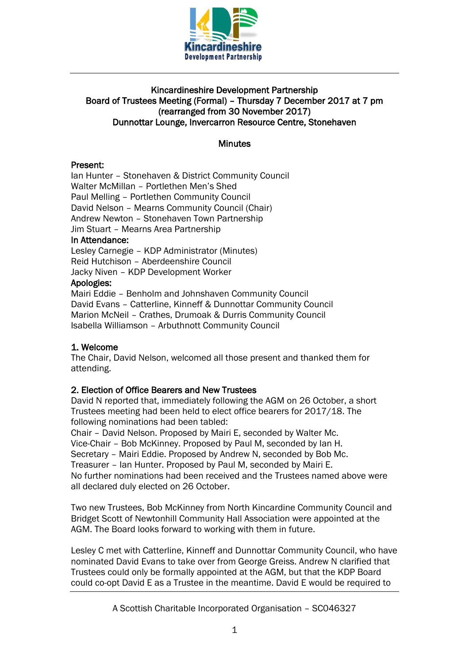

# Kincardineshire Development Partnership Board of Trustees Meeting (Formal) – Thursday 7 December 2017 at 7 pm (rearranged from 30 November 2017) Dunnottar Lounge, Invercarron Resource Centre, Stonehaven

### Minutes

# Present:

Ian Hunter – Stonehaven & District Community Council Walter McMillan – Portlethen Men's Shed Paul Melling – Portlethen Community Council David Nelson – Mearns Community Council (Chair) Andrew Newton – Stonehaven Town Partnership Jim Stuart – Mearns Area Partnership In Attendance: Lesley Carnegie – KDP Administrator (Minutes) Reid Hutchison – Aberdeenshire Council Jacky Niven – KDP Development Worker

### Apologies:

Mairi Eddie – Benholm and Johnshaven Community Council David Evans – Catterline, Kinneff & Dunnottar Community Council Marion McNeil – Crathes, Drumoak & Durris Community Council Isabella Williamson – Arbuthnott Community Council

# 1. Welcome

The Chair, David Nelson, welcomed all those present and thanked them for attending.

# 2. Election of Office Bearers and New Trustees

David N reported that, immediately following the AGM on 26 October, a short Trustees meeting had been held to elect office bearers for 2017/18. The following nominations had been tabled:

Chair – David Nelson. Proposed by Mairi E, seconded by Walter Mc. Vice-Chair – Bob McKinney. Proposed by Paul M, seconded by Ian H. Secretary – Mairi Eddie. Proposed by Andrew N, seconded by Bob Mc. Treasurer – Ian Hunter. Proposed by Paul M, seconded by Mairi E. No further nominations had been received and the Trustees named above were all declared duly elected on 26 October.

Two new Trustees, Bob McKinney from North Kincardine Community Council and Bridget Scott of Newtonhill Community Hall Association were appointed at the AGM. The Board looks forward to working with them in future.

Lesley C met with Catterline, Kinneff and Dunnottar Community Council, who have nominated David Evans to take over from George Greiss. Andrew N clarified that Trustees could only be formally appointed at the AGM, but that the KDP Board could co-opt David E as a Trustee in the meantime. David E would be required to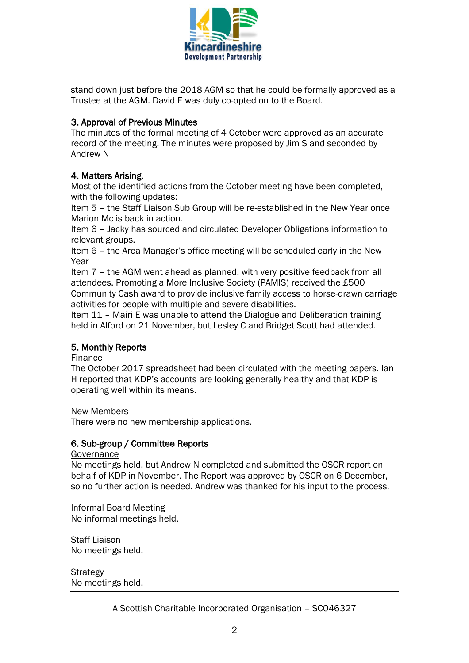

stand down just before the 2018 AGM so that he could be formally approved as a Trustee at the AGM. David E was duly co-opted on to the Board.

# 3. Approval of Previous Minutes

The minutes of the formal meeting of 4 October were approved as an accurate record of the meeting. The minutes were proposed by Jim S and seconded by Andrew N

# 4. Matters Arising.

Most of the identified actions from the October meeting have been completed, with the following updates:

Item 5 – the Staff Liaison Sub Group will be re-established in the New Year once Marion Mc is back in action.

Item 6 – Jacky has sourced and circulated Developer Obligations information to relevant groups.

Item 6 – the Area Manager's office meeting will be scheduled early in the New Year

Item 7 – the AGM went ahead as planned, with very positive feedback from all attendees. Promoting a More Inclusive Society (PAMIS) received the £500 Community Cash award to provide inclusive family access to horse-drawn carriage activities for people with multiple and severe disabilities.

Item 11 – Mairi E was unable to attend the Dialogue and Deliberation training held in Alford on 21 November, but Lesley C and Bridget Scott had attended.

# 5. Monthly Reports

#### Finance

The October 2017 spreadsheet had been circulated with the meeting papers. Ian H reported that KDP's accounts are looking generally healthy and that KDP is operating well within its means.

#### New Members

There were no new membership applications.

#### 6. Sub-group / Committee Reports

Governance

No meetings held, but Andrew N completed and submitted the OSCR report on behalf of KDP in November. The Report was approved by OSCR on 6 December, so no further action is needed. Andrew was thanked for his input to the process.

Informal Board Meeting No informal meetings held.

Staff Liaison No meetings held.

**Strategy** No meetings held.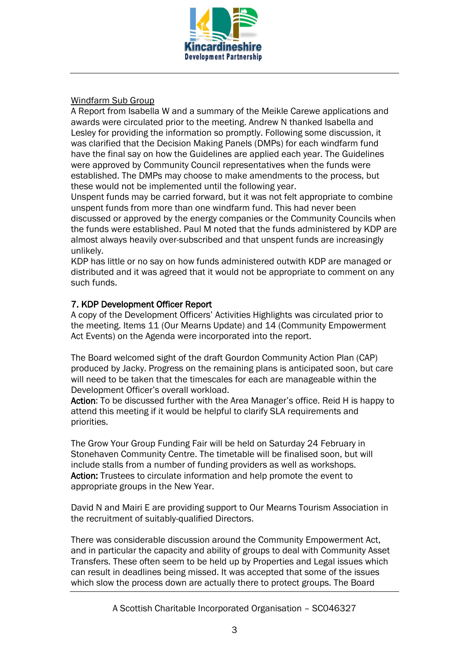

# Windfarm Sub Group

A Report from Isabella W and a summary of the Meikle Carewe applications and awards were circulated prior to the meeting. Andrew N thanked Isabella and Lesley for providing the information so promptly. Following some discussion, it was clarified that the Decision Making Panels (DMPs) for each windfarm fund have the final say on how the Guidelines are applied each year. The Guidelines were approved by Community Council representatives when the funds were established. The DMPs may choose to make amendments to the process, but these would not be implemented until the following year.

Unspent funds may be carried forward, but it was not felt appropriate to combine unspent funds from more than one windfarm fund. This had never been discussed or approved by the energy companies or the Community Councils when the funds were established. Paul M noted that the funds administered by KDP are almost always heavily over-subscribed and that unspent funds are increasingly unlikely.

KDP has little or no say on how funds administered outwith KDP are managed or distributed and it was agreed that it would not be appropriate to comment on any such funds.

# 7. KDP Development Officer Report

A copy of the Development Officers' Activities Highlights was circulated prior to the meeting. Items 11 (Our Mearns Update) and 14 (Community Empowerment Act Events) on the Agenda were incorporated into the report.

The Board welcomed sight of the draft Gourdon Community Action Plan (CAP) produced by Jacky. Progress on the remaining plans is anticipated soon, but care will need to be taken that the timescales for each are manageable within the Development Officer's overall workload.

Action: To be discussed further with the Area Manager's office. Reid H is happy to attend this meeting if it would be helpful to clarify SLA requirements and priorities.

The Grow Your Group Funding Fair will be held on Saturday 24 February in Stonehaven Community Centre. The timetable will be finalised soon, but will include stalls from a number of funding providers as well as workshops. Action: Trustees to circulate information and help promote the event to appropriate groups in the New Year.

David N and Mairi E are providing support to Our Mearns Tourism Association in the recruitment of suitably-qualified Directors.

There was considerable discussion around the Community Empowerment Act, and in particular the capacity and ability of groups to deal with Community Asset Transfers. These often seem to be held up by Properties and Legal issues which can result in deadlines being missed. It was accepted that some of the issues which slow the process down are actually there to protect groups. The Board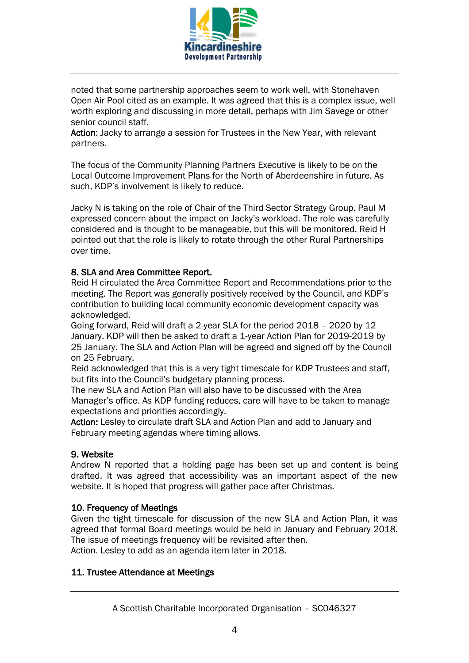

noted that some partnership approaches seem to work well, with Stonehaven Open Air Pool cited as an example. It was agreed that this is a complex issue, well worth exploring and discussing in more detail, perhaps with Jim Savege or other senior council staff.

Action: Jacky to arrange a session for Trustees in the New Year, with relevant partners.

The focus of the Community Planning Partners Executive is likely to be on the Local Outcome Improvement Plans for the North of Aberdeenshire in future. As such, KDP's involvement is likely to reduce.

Jacky N is taking on the role of Chair of the Third Sector Strategy Group. Paul M expressed concern about the impact on Jacky's workload. The role was carefully considered and is thought to be manageable, but this will be monitored. Reid H pointed out that the role is likely to rotate through the other Rural Partnerships over time.

# 8. SLA and Area Committee Report.

Reid H circulated the Area Committee Report and Recommendations prior to the meeting. The Report was generally positively received by the Council, and KDP's contribution to building local community economic development capacity was acknowledged.

Going forward, Reid will draft a 2-year SLA for the period 2018 – 2020 by 12 January. KDP will then be asked to draft a 1-year Action Plan for 2019-2019 by 25 January. The SLA and Action Plan will be agreed and signed off by the Council on 25 February.

Reid acknowledged that this is a very tight timescale for KDP Trustees and staff, but fits into the Council's budgetary planning process.

The new SLA and Action Plan will also have to be discussed with the Area Manager's office. As KDP funding reduces, care will have to be taken to manage expectations and priorities accordingly.

Action: Lesley to circulate draft SLA and Action Plan and add to January and February meeting agendas where timing allows.

# 9. Website

Andrew N reported that a holding page has been set up and content is being drafted. It was agreed that accessibility was an important aspect of the new website. It is hoped that progress will gather pace after Christmas.

# 10. Frequency of Meetings

Given the tight timescale for discussion of the new SLA and Action Plan, it was agreed that formal Board meetings would be held in January and February 2018. The issue of meetings frequency will be revisited after then. Action. Lesley to add as an agenda item later in 2018.

# 11. Trustee Attendance at Meetings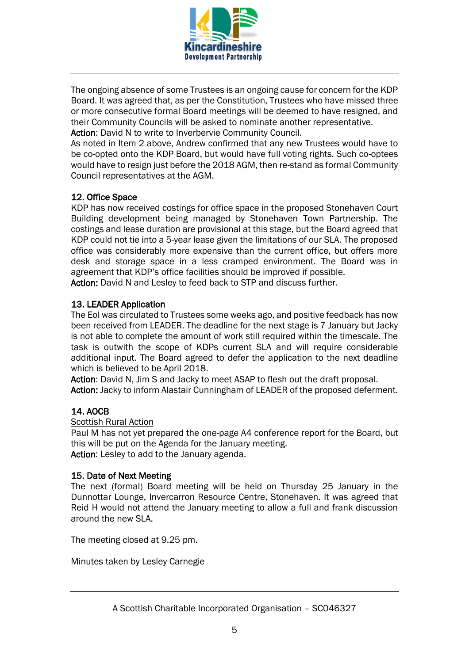

The ongoing absence of some Trustees is an ongoing cause for concern for the KDP Board. It was agreed that, as per the Constitution, Trustees who have missed three or more consecutive formal Board meetings will be deemed to have resigned, and their Community Councils will be asked to nominate another representative. Action: David N to write to Inverbervie Community Council.

As noted in Item 2 above, Andrew confirmed that any new Trustees would have to be co-opted onto the KDP Board, but would have full voting rights. Such co-optees would have to resign just before the 2018 AGM, then re-stand as formal Community Council representatives at the AGM.

# 12. Office Space

KDP has now received costings for office space in the proposed Stonehaven Court Building development being managed by Stonehaven Town Partnership. The costings and lease duration are provisional at this stage, but the Board agreed that KDP could not tie into a 5-year lease given the limitations of our SLA. The proposed office was considerably more expensive than the current office, but offers more desk and storage space in a less cramped environment. The Board was in agreement that KDP's office facilities should be improved if possible. Action: David N and Lesley to feed back to STP and discuss further.

# 13. LEADER Application

The EoI was circulated to Trustees some weeks ago, and positive feedback has now been received from LEADER. The deadline for the next stage is 7 January but Jacky is not able to complete the amount of work still required within the timescale. The task is outwith the scope of KDPs current SLA and will require considerable additional input. The Board agreed to defer the application to the next deadline which is believed to be April 2018.

Action: David N, Jim S and Jacky to meet ASAP to flesh out the draft proposal. Action: Jacky to inform Alastair Cunningham of LEADER of the proposed deferment.

# 14. AOCB

Scottish Rural Action

Paul M has not yet prepared the one-page A4 conference report for the Board, but this will be put on the Agenda for the January meeting. Action: Lesley to add to the January agenda.

# 15. Date of Next Meeting

The next (formal) Board meeting will be held on Thursday 25 January in the Dunnottar Lounge, Invercarron Resource Centre, Stonehaven. It was agreed that Reid H would not attend the January meeting to allow a full and frank discussion around the new SLA.

The meeting closed at 9.25 pm.

Minutes taken by Lesley Carnegie